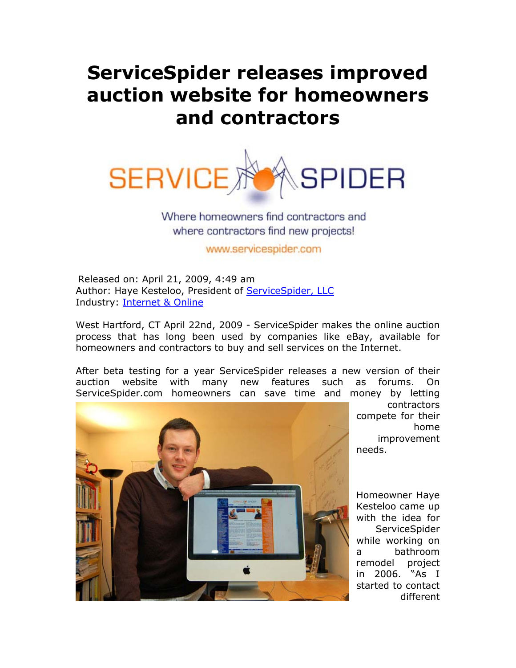## **ServiceSpider releases improved auction website for homeowners and contractors**



Where homeowners find contractors and where contractors find new projects!

www.servicespider.com

Released on: April 21, 2009, 4:49 am Author: Haye Kesteloo, President of ServiceSpider, LLC Industry: Internet & Online

West Hartford, CT April 22nd, 2009 - ServiceSpider makes the online auction process that has long been used by companies like eBay, available for homeowners and contractors to buy and sell services on the Internet.

After beta testing for a year ServiceSpider releases a new version of their auction website with many new features such as forums. On ServiceSpider.com homeowners can save time and money by letting



contractors compete for their home improvement needs.

Homeowner Haye Kesteloo came up with the idea for ServiceSpider while working on a bathroom remodel project in 2006. "As I started to contact different